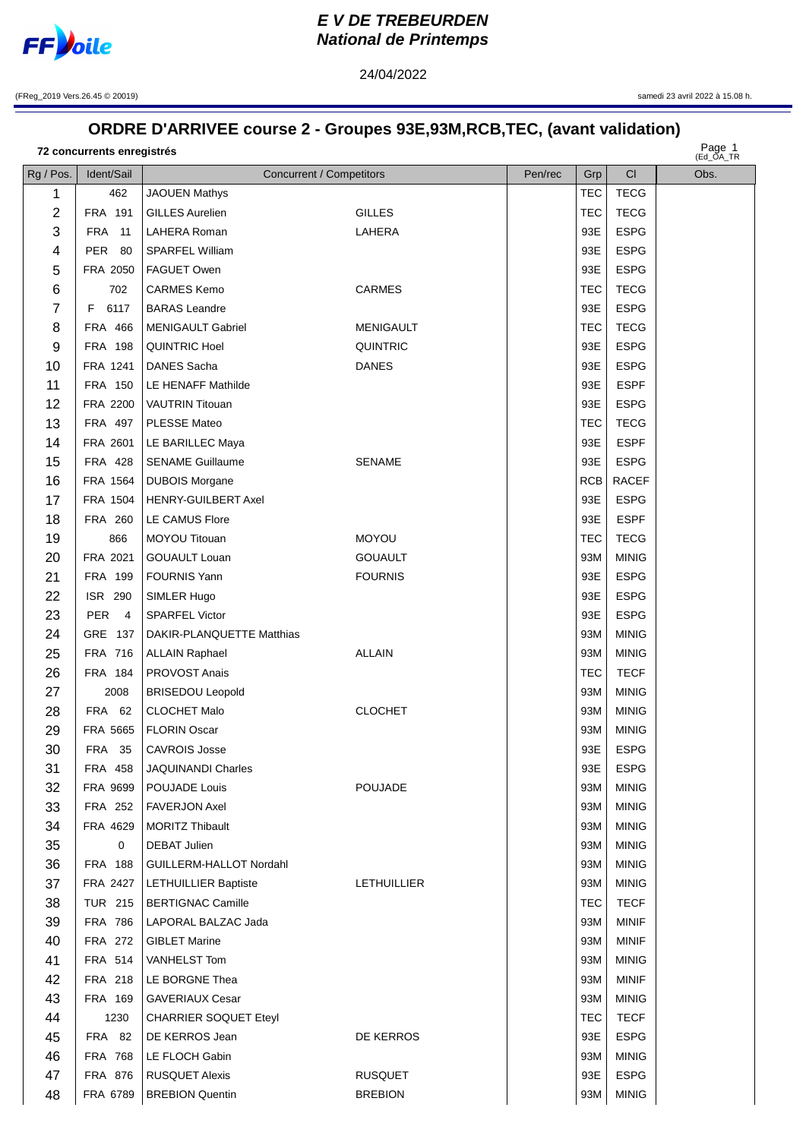

## **EV DE TREBEURDEN National de Printemps**

24/04/2022

(FReg\_2019 Vers.26.45 © 20019)

samedi 23 avril 2022 à 15.08 h.

## ORDRE D'ARRIVEE course 2 - Groupes 93E,93M,RCB,TEC, (avant validation)

72 concurrents enregistrés

Page 1

|                |                              |                              |                    |         |            |              | (EQ_UA_IR |
|----------------|------------------------------|------------------------------|--------------------|---------|------------|--------------|-----------|
| Rg / Pos.      | Ident/Sail                   | Concurrent / Competitors     |                    | Pen/rec | Grp        | CI           | Obs.      |
| 1              | 462                          | <b>JAOUEN Mathys</b>         |                    |         | TEC        | <b>TECG</b>  |           |
| $\overline{2}$ | FRA 191                      | <b>GILLES Aurelien</b>       | <b>GILLES</b>      |         | TEC        | <b>TECG</b>  |           |
| 3              | <b>FRA</b> 11                | LAHERA Roman                 | LAHERA             |         | 93E        | <b>ESPG</b>  |           |
| 4              | PER 80                       | <b>SPARFEL William</b>       |                    |         | 93E        | <b>ESPG</b>  |           |
| 5              | FRA 2050                     | FAGUET Owen                  |                    |         | 93E        | <b>ESPG</b>  |           |
| 6              | 702                          | <b>CARMES Kemo</b>           | <b>CARMES</b>      |         | <b>TEC</b> | <b>TECG</b>  |           |
| 7              | 6117<br>F.                   | <b>BARAS</b> Leandre         |                    |         | 93E        | <b>ESPG</b>  |           |
| 8              | <b>FRA 466</b>               | <b>MENIGAULT Gabriel</b>     | <b>MENIGAULT</b>   |         | <b>TEC</b> | <b>TECG</b>  |           |
| 9              | FRA 198                      | <b>QUINTRIC Hoel</b>         | <b>QUINTRIC</b>    |         | 93E        | <b>ESPG</b>  |           |
| 10             | FRA 1241                     | DANES Sacha                  | <b>DANES</b>       |         | 93E        | <b>ESPG</b>  |           |
| 11             | FRA 150                      | LE HENAFF Mathilde           |                    |         | 93E        | <b>ESPF</b>  |           |
| 12             | FRA 2200                     | VAUTRIN Titouan              |                    |         | 93E        | <b>ESPG</b>  |           |
| 13             | FRA 497                      | PLESSE Mateo                 |                    |         | <b>TEC</b> | <b>TECG</b>  |           |
| 14             | FRA 2601                     | LE BARILLEC Maya             |                    |         | 93E        | <b>ESPF</b>  |           |
| 15             | FRA 428                      | <b>SENAME Guillaume</b>      | <b>SENAME</b>      |         | 93E        | <b>ESPG</b>  |           |
| 16             | FRA 1564                     | <b>DUBOIS Morgane</b>        |                    |         | RCB        | <b>RACEF</b> |           |
| 17             | FRA 1504                     | <b>HENRY-GUILBERT Axel</b>   |                    |         | 93E        | <b>ESPG</b>  |           |
| 18             | FRA 260                      | <b>LE CAMUS Flore</b>        |                    |         | 93E        | <b>ESPF</b>  |           |
| 19             | 866                          | MOYOU Titouan                | <b>MOYOU</b>       |         | TEC        | <b>TECG</b>  |           |
| 20             | FRA 2021                     | <b>GOUAULT Louan</b>         | <b>GOUAULT</b>     |         | 93M        | <b>MINIG</b> |           |
| 21             | FRA 199                      | <b>FOURNIS Yann</b>          | <b>FOURNIS</b>     |         | 93E        | <b>ESPG</b>  |           |
| 22             | ISR 290                      | SIMLER Hugo                  |                    |         | 93E        | <b>ESPG</b>  |           |
| 23             | <b>PER</b><br>$\overline{4}$ | <b>SPARFEL Victor</b>        |                    |         | 93E        | <b>ESPG</b>  |           |
| 24             | GRE 137                      | DAKIR-PLANQUETTE Matthias    |                    |         | 93M        | <b>MINIG</b> |           |
| 25             | FRA 716                      | <b>ALLAIN Raphael</b>        | <b>ALLAIN</b>      |         | 93M        | <b>MINIG</b> |           |
| 26             | FRA 184                      | <b>PROVOST Anais</b>         |                    |         | <b>TEC</b> | <b>TECF</b>  |           |
| 27             | 2008                         | <b>BRISEDOU Leopold</b>      |                    |         | 93M        | <b>MINIG</b> |           |
| 28             | <b>FRA 62</b>                | <b>CLOCHET Malo</b>          | <b>CLOCHET</b>     |         | 93M        | <b>MINIG</b> |           |
| 29             | FRA 5665                     | <b>FLORIN Oscar</b>          |                    |         | 93M        | <b>MINIG</b> |           |
| 30             | FRA 35                       | <b>CAVROIS Josse</b>         |                    |         | 93E        | <b>ESPG</b>  |           |
| 31             | FRA 458                      | JAQUINANDI Charles           |                    |         | 93E        | <b>ESPG</b>  |           |
| 32             | FRA 9699                     | <b>POUJADE Louis</b>         | <b>POUJADE</b>     |         | 93M        | <b>MINIG</b> |           |
| 33             | FRA 252                      | <b>FAVERJON Axel</b>         |                    |         | 93M        | <b>MINIG</b> |           |
| 34             | FRA 4629                     | <b>MORITZ Thibault</b>       |                    |         | 93M        | <b>MINIG</b> |           |
| 35             | 0                            | <b>DEBAT Julien</b>          |                    |         | 93M        | <b>MINIG</b> |           |
| 36             | FRA 188                      | GUILLERM-HALLOT Nordahl      |                    |         | 93M        | <b>MINIG</b> |           |
| 37             | FRA 2427                     | <b>LETHUILLIER Baptiste</b>  | <b>LETHUILLIER</b> |         | 93M        | <b>MINIG</b> |           |
| 38             | <b>TUR 215</b>               | <b>BERTIGNAC Camille</b>     |                    |         | <b>TEC</b> | <b>TECF</b>  |           |
| 39             | <b>FRA 786</b>               | LAPORAL BALZAC Jada          |                    |         | 93M        | MINIF        |           |
| 40             | FRA 272                      | <b>GIBLET Marine</b>         |                    |         | 93M        | <b>MINIF</b> |           |
| 41             | FRA 514                      | VANHELST Tom                 |                    |         | 93M        | <b>MINIG</b> |           |
| 42             | FRA 218                      | LE BORGNE Thea               |                    |         | 93M        | <b>MINIF</b> |           |
| 43             | FRA 169                      | <b>GAVERIAUX Cesar</b>       |                    |         | 93M        | <b>MINIG</b> |           |
| 44             | 1230                         | <b>CHARRIER SOQUET Eteyl</b> |                    |         | <b>TEC</b> | <b>TECF</b>  |           |
| 45             | <b>FRA 82</b>                | DE KERROS Jean               | DE KERROS          |         | 93E        | <b>ESPG</b>  |           |
| 46             | <b>FRA 768</b>               | LE FLOCH Gabin               |                    |         | 93M        | <b>MINIG</b> |           |
| 47             | FRA 876                      | <b>RUSQUET Alexis</b>        | <b>RUSQUET</b>     |         | 93E        | <b>ESPG</b>  |           |
| 48             | FRA 6789                     | <b>BREBION Quentin</b>       | <b>BREBION</b>     |         | 93M        | <b>MINIG</b> |           |
|                |                              |                              |                    |         |            |              |           |